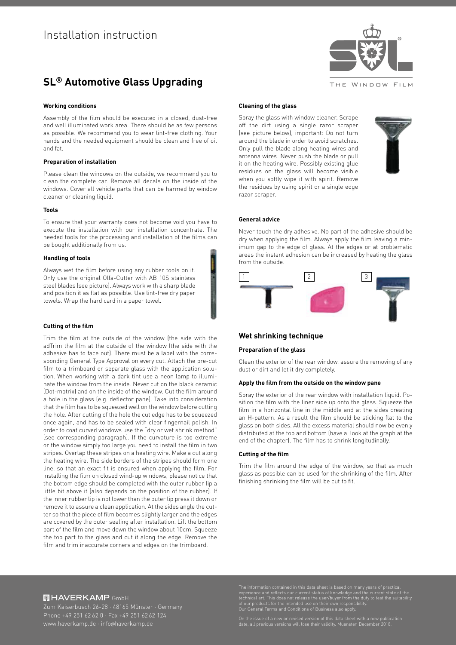

# **SL® Automotive Glass Upgrading**

# **Working conditions**

Assembly of the film should be executed in a closed, dust-free and well illuminated work area. There should be as few persons as possible. We recommend you to wear lint-free clothing. Your hands and the needed equipment should be clean and free of oil and fat.

# **Preparation of installation**

Please clean the windows on the outside, we recommend you to clean the complete car. Remove all decals on the inside of the windows. Cover all vehicle parts that can be harmed by window cleaner or cleaning liquid.

#### **Tools**

To ensure that your warranty does not become void you have to execute the installation with our installation concentrate. The needed tools for the processing and installation of the films can be bought additionally from us.

### **Handling of tools**

Always wet the film before using any rubber tools on it. Only use the original Olfa-Cutter with AB 10S stainless steel blades (see picture). Always work with a sharp blade and position it as flat as possible. Use lint-free dry paper towels. Wrap the hard card in a paper towel.

#### **Cutting of the film**

Trim the film at the outside of the window (the side with the adTrim the film at the outside of the window (the side with the adhesive has to face out). There must be a label with the corresponding General Type Approval on every cut. Attach the pre-cut film to a trimboard or separate glass with the application solution. When working with a dark tint use a neon lamp to illuminate the window from the inside. Never cut on the black ceramic (Dot-matrix) and on the inside of the window. Cut the film around a hole in the glass (e.g. deflector pane). Take into consideration that the film has to be squeezed well on the window before cutting the hole. After cutting of the hole the cut edge has to be squeezed once again, and has to be sealed with clear fingernail polish. In order to coat curved windows use the "dry or wet shrink method" (see corresponding paragraph). If the curvature is too extreme or the window simply too large you need to install the film in two stripes. Overlap these stripes on a heating wire. Make a cut along the heating wire. The side borders of the stripes should form one line, so that an exact fit is ensured when applying the film. For installing the film on closed wind-up windows, please notice that the bottom edge should be completed with the outer rubber lip a little bit above it (also depends on the position of the rubber). If the inner rubber lip is not lower than the outer lip press it down or remove it to assure a clean application. At the sides angle the cutter so that the piece of film becomes slightly larger and the edges are covered by the outer sealing after installation. Lift the bottom part of the film and move down the window about 10cm. Squeeze the top part to the glass and cut it along the edge. Remove the film and trim inaccurate corners and edges on the trimboard.

# **Cleaning of the glass**

Spray the glass with window cleaner. Scrape off the dirt using a single razor scraper (see picture below), important: Do not turn around the blade in order to avoid scratches. Only pull the blade along heating wires and antenna wires. Never push the blade or pull it on the heating wire. Possibly existing glue residues on the glass will become visible when you softly wipe it with spirit. Remove the residues by using spirit or a single edge razor scraper.



#### **General advice**

Never touch the dry adhesive. No part of the adhesive should be dry when applying the film. Always apply the film leaving a minimum gap to the edge of glass. At the edges or at problematic areas the instant adhesion can be increased by heating the glass from the outside.



# **Wet shrinking technique**

#### **Preparation of the glass**

Clean the exterior of the rear window, assure the removing of any dust or dirt and let it dry completely.

## **Apply the film from the outside on the window pane**

Spray the exterior of the rear window with installation liquid. Position the film with the liner side up onto the glass. Squeeze the film in a horizontal line in the middle and at the sides creating an H-pattern. As a result the film should be sticking flat to the glass on both sides. All the excess material should now be evenly distributed at the top and bottom (have a look at the graph at the end of the chapter). The film has to shrink longitudinally.

#### **Cutting of the film**

Trim the film around the edge of the window, so that as much glass as possible can be used for the shrinking of the film. After finishing shrinking the film will be cut to fit.

# **回HAVERKAMP GmbH**

The information contained in this data sheet is based on many years of practical<br>experience and reflects our current status of knowledge and the current state of the<br>technical art. This does not release the user/buyer from

On the issue of a new or revised version of this data sheet with a new publication date, all previous versions will lose their validity. Muenster, December 2018.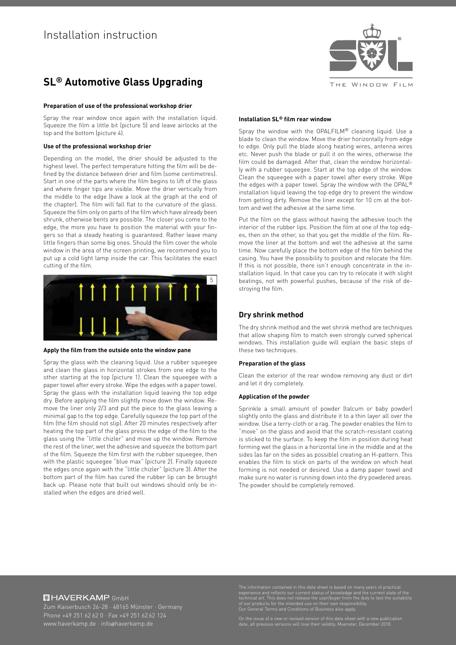# **SL® Automotive Glass Upgrading**

### **Preparation of use of the professional workshop drier**

Spray the rear window once again with the installation liquid. Squeeze the film a little bit (picture 5) and leave airlocks at the top and the bottom (picture 4).

### **Use of the professional workshop drier**

Depending on the model, the drier should be adjusted to the highest level. The perfect temperature hitting the film will be defined by the distance between drier and film (some centimetres). Start in one of the parts where the film begins to lift of the glass and where finger tips are visible. Move the drier vertically from the middle to the edge (have a look at the graph at the end of the chapter). The film will fall flat to the curvature of the glass. Squeeze the film only on parts of the film which have already been shrunk, otherwise bents are possible. The closer you come to the edge, the more you have to position the material with your fingers so that a steady heating is guaranteed. Rather leave many little fingers than some big ones. Should the film cover the whole window in the area of the screen printing, we recommend you to put up a cold light lamp inside the car. This facilitates the exact cutting of the film.



#### **Apply the film from the outside onto the window pane**

Spray the glass with the cleaning liquid. Use a rubber squeegee and clean the glass in horizontal strokes from one edge to the other starting at the top (picture 1). Clean the squeegee with a paper towel after every stroke. Wipe the edges with a paper towel. Spray the glass with the installation liquid leaving the top edge dry. Before applying the film slightly move down the window. Remove the liner only 2/3 and put the piece to the glass leaving a minimal gap to the top edge. Carefully squeeze the top part of the film (the film should not slip). After 20 minutes respectively after heating the top part of the glass press the edge of the film to the glass using the "little chizler" and move up the window. Remove the rest of the liner, wet the adhesive and squeeze the bottom part of the film. Squeeze the film first with the rubber squeegee, then with the plastic squeegee "blue max" (picture 2). Finally squeeze the edges once again with the "little chizler" (picture 3). After the bottom part of the film has cured the rubber lip can be brought back up. Please note that built out windows should only be installed when the edges are dried well.



# **Installation SL® film rear window**

Spray the window with the OPALFILM® cleaning liquid. Use a blade to clean the window. Move the drier horizontally from edge to edge. Only pull the blade along heating wires, antenna wires etc. Never push the blade or pull it on the wires, otherwise the film could be damaged. After that, clean the window horizontally with a rubber squeegee. Start at the top edge of the window. Clean the squeegee with a paper towel after every stroke. Wipe the edges with a paper towel. Spray the window with the OPAL® installation liquid leaving the top edge dry to prevent the window from getting dirty. Remove the liner except for 10 cm at the bottom and wet the adhesive at the same time.

Put the film on the glass without having the adhesive touch the interior of the rubber lips. Position the film at one of the top edges, then on the other, so that you get the middle of the film. Remove the liner at the bottom and wet the adhesive at the same time. Now carefully place the bottom edge of the film behind the casing. You have the possibility to position and relocate the film. If this is not possible, there isn't enough concentrate in the installation liquid. In that case you can try to relocate it with slight beatings, not with powerful pushes, because of the risk of destroving the film.

# **Dry shrink method**

The dry shrink method and the wet shrink method are techniques that allow shaping film to match even strongly curved spherical windows. This installation guide will explain the basic steps of these two techniques.

## **Preparation of the glass**

Clean the exterior of the rear window removing any dust or dirt and let it dry completely.

#### **Application of the powder**

Sprinkle a small amount of powder (talcum or baby powder) slightly onto the glass and distribute it to a thin layer all over the window. Use a terry-cloth or a rag. The powder enables the film to "move" on the glass and avoid that the scratch-resistant coating is sticked to the surface. To keep the film in position during heat forming wet the glass in a horizontal line in the middle and at the sides (as far on the sides as possible) creating an H-pattern. This enables the film to stick on parts of the window on which heat forming is not needed or desired. Use a damp paper towel and make sure no water is running down into the dry powdered areas. The powder should be completely removed.

# **回HAVERKAMP GmbH**

Zum Kaiserbusch 26-28 · 48165 Münster · Germany

The information contained in this data sheet is based on many years of practical<br>experience and reflects our current status of knowledge and the current state of the<br>technical art. This does not release the user/buyer from

On the issue of a new or revised version of this data sheet with a new publication date, all previous versions will lose their validity. Muenster, December 2018.